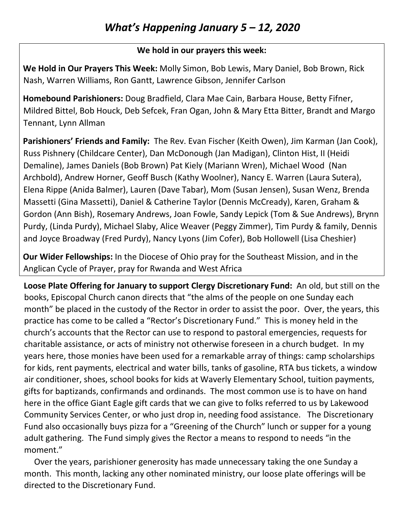## **We hold in our prayers this week:**

**We Hold in Our Prayers This Week:** Molly Simon, Bob Lewis, Mary Daniel, Bob Brown, Rick Nash, Warren Williams, Ron Gantt, Lawrence Gibson, Jennifer Carlson

**Homebound Parishioners:** Doug Bradfield, Clara Mae Cain, Barbara House, Betty Fifner, Mildred Bittel, Bob Houck, Deb Sefcek, Fran Ogan, John & Mary Etta Bitter, Brandt and Margo Tennant, Lynn Allman

**Parishioners' Friends and Family:** The Rev. Evan Fischer (Keith Owen), Jim Karman (Jan Cook), Russ Pishnery (Childcare Center), Dan McDonough (Jan Madigan), Clinton Hist, II (Heidi Demaline), James Daniels (Bob Brown) Pat Kiely (Mariann Wren), Michael Wood (Nan Archbold), Andrew Horner, Geoff Busch (Kathy Woolner), Nancy E. Warren (Laura Sutera), Elena Rippe (Anida Balmer), Lauren (Dave Tabar), Mom (Susan Jensen), Susan Wenz, Brenda Massetti (Gina Massetti), Daniel & Catherine Taylor (Dennis McCready), Karen, Graham & Gordon (Ann Bish), Rosemary Andrews, Joan Fowle, Sandy Lepick (Tom & Sue Andrews), Brynn Purdy, (Linda Purdy), Michael Slaby, Alice Weaver (Peggy Zimmer), Tim Purdy & family, Dennis and Joyce Broadway (Fred Purdy), Nancy Lyons (Jim Cofer), Bob Hollowell (Lisa Cheshier)

**Our Wider Fellowships:** In the Diocese of Ohio pray for the Southeast Mission, and in the Anglican Cycle of Prayer, pray for Rwanda and West Africa

**Loose Plate Offering for January to support Clergy Discretionary Fund:** An old, but still on the books, Episcopal Church canon directs that "the alms of the people on one Sunday each month" be placed in the custody of the Rector in order to assist the poor. Over, the years, this practice has come to be called a "Rector's Discretionary Fund." This is money held in the church's accounts that the Rector can use to respond to pastoral emergencies, requests for charitable assistance, or acts of ministry not otherwise foreseen in a church budget. In my years here, those monies have been used for a remarkable array of things: camp scholarships for kids, rent payments, electrical and water bills, tanks of gasoline, RTA bus tickets, a window air conditioner, shoes, school books for kids at Waverly Elementary School, tuition payments, gifts for baptizands, confirmands and ordinands. The most common use is to have on hand here in the office Giant Eagle gift cards that we can give to folks referred to us by Lakewood Community Services Center, or who just drop in, needing food assistance. The Discretionary Fund also occasionally buys pizza for a "Greening of the Church" lunch or supper for a young adult gathering. The Fund simply gives the Rector a means to respond to needs "in the moment."

 Over the years, parishioner generosity has made unnecessary taking the one Sunday a month. This month, lacking any other nominated ministry, our loose plate offerings will be directed to the Discretionary Fund.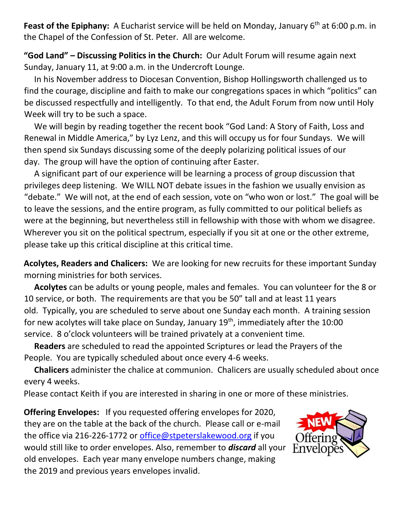**Feast of the Epiphany:** A Eucharist service will be held on Monday, January 6<sup>th</sup> at 6:00 p.m. in the Chapel of the Confession of St. Peter. All are welcome.

**"God Land" – Discussing Politics in the Church:** Our Adult Forum will resume again next Sunday, January 11, at 9:00 a.m. in the Undercroft Lounge.

 In his November address to Diocesan Convention, Bishop Hollingsworth challenged us to find the courage, discipline and faith to make our congregations spaces in which "politics" can be discussed respectfully and intelligently. To that end, the Adult Forum from now until Holy Week will try to be such a space.

 We will begin by reading together the recent book "God Land: A Story of Faith, Loss and Renewal in Middle America," by Lyz Lenz, and this will occupy us for four Sundays. We will then spend six Sundays discussing some of the deeply polarizing political issues of our day. The group will have the option of continuing after Easter.

 A significant part of our experience will be learning a process of group discussion that privileges deep listening. We WILL NOT debate issues in the fashion we usually envision as "debate." We will not, at the end of each session, vote on "who won or lost." The goal will be to leave the sessions, and the entire program, as fully committed to our political beliefs as were at the beginning, but nevertheless still in fellowship with those with whom we disagree. Wherever you sit on the political spectrum, especially if you sit at one or the other extreme, please take up this critical discipline at this critical time.

**Acolytes, Readers and Chalicers:** We are looking for new recruits for these important Sunday morning ministries for both services.

 **Acolytes** can be adults or young people, males and females. You can volunteer for the 8 or 10 service, or both. The requirements are that you be 50" tall and at least 11 years old. Typically, you are scheduled to serve about one Sunday each month. A training session for new acolytes will take place on Sunday, January 19<sup>th</sup>, immediately after the 10:00 service. 8 o'clock volunteers will be trained privately at a convenient time.

 **Readers** are scheduled to read the appointed Scriptures or lead the Prayers of the People. You are typically scheduled about once every 4-6 weeks.

 **Chalicers** administer the chalice at communion. Chalicers are usually scheduled about once every 4 weeks.

Please contact Keith if you are interested in sharing in one or more of these ministries.

**Offering Envelopes:** If you requested offering envelopes for 2020, they are on the table at the back of the church. Please call or e-mail the office via 216-226-1772 or [office@stpeterslakewood.org](mailto:office@stpeterslakewood.org) if you would still like to order envelopes. Also, remember to *discard* all your old envelopes. Each year many envelope numbers change, making the 2019 and previous years envelopes invalid.

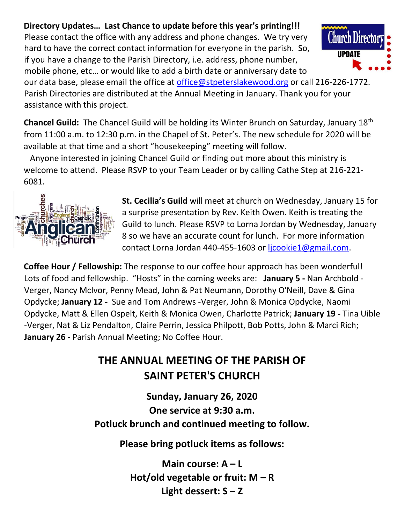## **Directory Updates… Last Chance to update before this year's printing!!!**

Please contact the office with any address and phone changes. We try very hard to have the correct contact information for everyone in the parish. So, if you have a change to the Parish Directory, i.e. address, phone number, mobile phone, etc… or would like to add a birth date or anniversary date to

**IIPNATE** 

our data base, please email the office at *office@stpeterslakewood.org* or call 216-226-1772. Parish Directories are distributed at the Annual Meeting in January. Thank you for your assistance with this project.

**Chancel Guild:** The Chancel Guild will be holding its Winter Brunch on Saturday, January 18th from 11:00 a.m. to 12:30 p.m. in the Chapel of St. Peter's. The new schedule for 2020 will be available at that time and a short "housekeeping" meeting will follow.

 Anyone interested in joining Chancel Guild or finding out more about this ministry is welcome to attend. Please RSVP to your Team Leader or by calling Cathe Step at 216-221- 6081.



**St. Cecilia's Guild** will meet at church on Wednesday, January 15 for a surprise presentation by Rev. Keith Owen. Keith is treating the Guild to lunch. Please RSVP to Lorna Jordan by Wednesday, January 8 so we have an accurate count for lunch. For more information contact Lorna Jordan 440-455-1603 or [ljcookie1@gmail.com.](mailto:ljcookie1@gmail.com)

**Coffee Hour / Fellowship:** The response to our coffee hour approach has been wonderful! Lots of food and fellowship. "Hosts" in the coming weeks are: **January 5 -** Nan Archbold - Verger, Nancy McIvor, Penny Mead, John & Pat Neumann, Dorothy O'Neill, Dave & Gina Opdycke; **January 12 -** Sue and Tom Andrews -Verger, John & Monica Opdycke, Naomi Opdycke, Matt & Ellen Ospelt, Keith & Monica Owen, Charlotte Patrick; **January 19 -** Tina Uible -Verger, Nat & Liz Pendalton, Claire Perrin, Jessica Philpott, Bob Potts, John & Marci Rich; **January 26 -** Parish Annual Meeting; No Coffee Hour.

## **THE ANNUAL MEETING OF THE PARISH OF SAINT PETER'S CHURCH**

**Sunday, January 26, 2020 One service at 9:30 a.m. Potluck brunch and continued meeting to follow.**

**Please bring potluck items as follows:**

**Main course: A – L Hot/old vegetable or fruit: M – R Light dessert: S – Z**